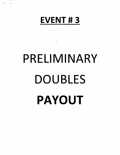

 $\pmb{\Sigma}^{(l)}$  and

**College** 

# PRELIMINARY DOUBLES PAYOUT

 $\mathbb{R}^{2d}$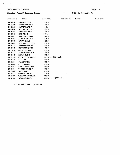$\mathbf{r}$ 

 $\bar{\beta}$ 

 $\mathcal{L}^{\mathcal{L}}$ 

# Shooter Payoff Summary Report

Page 1

8/13/21 6:51:36 PM

| Member #        | Name                     | Tot Won |          | Member #                  | Name |  | Tot Won |
|-----------------|--------------------------|---------|----------|---------------------------|------|--|---------|
| <b>BC 44418</b> | <b>AHRENS PETER</b>      |         | \$36.00  |                           |      |  |         |
| <b>BC 01260</b> | <b>BOWMAN BRIAN G</b>    |         | \$9.50   |                           |      |  |         |
| <b>BC 40239</b> | <b>CARTER DAVID W</b>    |         | \$49.00  |                           |      |  |         |
| <b>BC 35436</b> | <b>COLEMAN ROBERT E</b>  |         | \$57.00  |                           |      |  |         |
| BC 47861        | <b>FORSTER BURKE</b>     |         | \$9.50   |                           |      |  |         |
| <b>BC 45240</b> | <b>GINN TOM E</b>        |         | \$131.00 |                           |      |  |         |
| <b>BC 14803</b> | <b>HANCOCK DONALD</b>    |         | \$62.50  |                           |      |  |         |
| <b>BC 45003</b> | <b>KAPELUCK DALE A</b>   |         | \$25.00  |                           |      |  |         |
| <b>BC 49009</b> | <b>KUMAR RAJAN</b>       |         | \$125.00 |                           |      |  |         |
| <b>BC 36085</b> | <b>MCQUARRIE KELLY P</b> |         | \$19.00  |                           |      |  |         |
| BC 41912        | <b>MIKKELSON TYLER</b>   |         | \$49.00  |                           |      |  |         |
| <b>BC 48119</b> | <b>MORRISS MICHAEL</b>   |         | \$9.50   |                           |      |  |         |
| <b>BC 29378</b> | <b>MUSTER KERRY</b>      |         | \$19.00  |                           |      |  |         |
| <b>BC 44437</b> | <b>RAMSAY MICHAEL H</b>  |         | \$9.50   |                           |      |  |         |
| <b>BC 49349</b> | <b>REMIAS DUSAN</b>      |         | \$62.50  |                           |      |  |         |
| <b>BC 12826</b> | <b>REYNOLDS BERNARD</b>  |         |          | $$35.00 - R$ <b>GFUND</b> |      |  |         |
| <b>BC 01930</b> | <b>SALT LISA</b>         |         | \$49.00  |                           |      |  |         |
| <b>BC 42051</b> | <b>STARK MIKE R</b>      |         | \$38.00  |                           |      |  |         |
| <b>BC 46082</b> | <b>STEVENS DOM</b>       |         | \$19.00  |                           |      |  |         |
| <b>BC 48182</b> | <b>STOCKLEY MATHEW</b>   |         | \$80.00  |                           |      |  |         |
| <b>BC 36284</b> | <b>TODD REGINALD T</b>   |         | \$77.00  |                           |      |  |         |
| BC 16660        | <b>WADE DAVE</b>         |         | \$79.00  |                           |      |  |         |
| BC 46412        | <b>WILLSON GARTH</b>     |         | \$19.00  |                           |      |  |         |
| <b>BC 42361</b> | <b>WIRAWAN MARSHALL</b>  |         | \$86.00  |                           |      |  |         |
| BC 01024        | <b>WOODS GARRY J</b>     |         |          | $$45.00 -$ REFUND.        |      |  |         |

TOTAL PAID OUT \$1200.00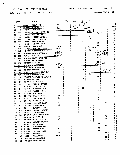$\mathcal{F}^{\text{max}}_{\text{max}}$  and  $\mathcal{F}^{\text{max}}_{\text{max}}$ 

 $\bar{\mathcal{A}}$ 

Total Shooters 50 1st 100 TARGETS

 $\ddot{\phantom{a}}$ 

AVERAGE SCORE 84

|           | Squad |                 | Name                       |             | AAA | AA          | А   | в              | с             | D         |    |                |
|-----------|-------|-----------------|----------------------------|-------------|-----|-------------|-----|----------------|---------------|-----------|----|----------------|
| BС        | 14.3  | <b>BC 45240</b> | <b>GINN TOM E</b>          | sv          |     |             | 97  | A              |               |           |    | Αj             |
| <b>BC</b> | 17.2  | <b>BC 16660</b> | <b>WADE DAVE</b>           | SV          |     | $94)$ $\mu$ |     | <b>LADY</b>    |               |           | АА |                |
| BС        | 15.4  | <b>BC 01930</b> | <b>SALT LISA</b>           | ŒD          |     |             | 794 |                |               |           | Α  |                |
| BC        | 20.4  | <b>BC 42361</b> | <b>WIRAWAN MARSHALL</b>    |             |     |             |     | $\mathfrak{B}$ | B             |           | в  |                |
| <b>BC</b> | 5.5   | <b>BC 49009</b> | <b>KUMAR RAJAN</b>         |             |     |             |     |                | $\sqrt{93}$   |           | C  |                |
| <b>BC</b> | 20.2  | <b>BC 45003</b> | <b>KAPELUCK DALE A</b>     |             |     |             |     | 92             |               |           | в  |                |
| <b>BC</b> | 20.1  | <b>BC 40239</b> | <b>CARTER DAVID W</b>      |             |     |             |     | 92             |               |           | в  |                |
| BС        | 17.4  | <b>BC 44418</b> | <b>AHRENS PETER</b>        |             |     |             | 92  |                |               |           |    |                |
| BC        | 5.4   | <b>BC 14803</b> | <b>HANCOCK DONALD</b>      |             |     |             |     |                | 92            |           |    |                |
| ВC        | 5.1   | <b>BC 49349</b> | <b>REMIAS DUSAN</b>        |             |     |             |     |                | 92<br>้ร∨     |           | В  |                |
| BС        | 15.5  | <b>BC 35436</b> | <b>COLEMAN ROBERT E</b>    | <u>∕sv</u>  |     |             |     | 91             |               |           | В  |                |
| BC        | 20.3  | <b>BC 44437</b> | <b>RAMSAY MICHAEL H</b>    |             |     |             |     | 89             |               | ELDER     | С  |                |
| <b>BC</b> | 15.1  | <b>BC 01260</b> | <b>BOWMAN BRIAN G</b>      | ELDR        |     |             |     |                | 89            | CARR      | c  |                |
| <b>BC</b> | 10.5  | <b>BC 02066</b> | <b>BARE PAT</b>            | <b>ELDR</b> |     |             |     |                | 89            |           |    |                |
| ВC        | 10.2  | <b>BC 48119</b> | <b>MORRISS MICHAEL</b>     |             |     |             |     |                | 89            |           | в  |                |
| <b>BC</b> | 4.2   | <b>BC 47861</b> | <b>FORSTER BURKE</b>       |             |     |             |     | 89             |               |           |    |                |
| BC        | 17.5  | BC 02532        | <b>WHITE JAMIE E</b>       |             |     |             |     |                | 88            | ΈI        |    |                |
| ВC        | 16.3  | BC 39768        | <b>ROSEBOOM BILL</b>       | দি          |     |             |     |                | $\widehat{B}$ |           | В  |                |
| BC        | 16.2  | <b>BC 02044</b> | <b>BROTEN GERALD</b>       | EL          |     |             |     | 88             |               |           |    | Α              |
| <b>BC</b> | 14.2  | <b>BC 42064</b> | <b>LEUNG DAVID C</b>       |             |     |             | 88  |                |               |           |    | D              |
| <b>BC</b> | 4.5   | BC 48182        | <b>STOCKLEY MATHEW</b>     |             |     |             |     |                |               | 88        |    | в              |
| <b>BC</b> | 15.2  | <b>BC 02520</b> | <b>FOWLER GORD</b>         |             |     |             |     | 86             |               |           |    | c              |
| <b>BC</b> | 10.4  | <b>BC 46965</b> | TREFANENKO JASON N         |             |     |             |     |                | 85            |           |    |                |
| <b>BC</b> | 14.1  | <b>BC 36085</b> | MCQUARRIE KELLY P          |             |     |             | 84  |                |               |           |    | Α              |
| BC        | 12.3  | <b>BC 46082</b> | <b>STEVENS DOM</b>         |             |     |             |     |                | 84            |           |    | С              |
| BC        | 4.4   | BC 41912        | <b>MIKKELSON TYLER</b>     |             |     |             |     |                |               | 84        |    | D<br>С         |
| <b>BC</b> | 10.1  | BC 29378        | <b>MUSTER KERRY</b>        |             |     |             |     |                | 83            |           |    |                |
| <b>BC</b> | 5.2   | <b>BC 46412</b> | <b>WILLSON GARTH</b>       |             |     |             | 83  |                |               |           |    | С              |
| <b>BC</b> | 20.5  | <b>BC 41440</b> | FONSECA JOHN A             |             |     |             |     |                | 82            |           |    | C              |
| BC        | 14.4  | <b>BC 45258</b> | <b>IZOV LUBEN</b>          |             |     |             |     |                | $82$          |           |    | C              |
| <b>BC</b> | 10.3  | <b>BC 00912</b> | <b>HALL DOUGLAS</b>        | vτ          |     |             |     |                | 82            |           |    | C              |
| <b>BC</b> | 16.1  | <b>BC 02530</b> | <b>WHITE ROBERT</b>        | SV          |     |             |     |                | 81            |           |    | c              |
| <b>BC</b> | 4.1   | <b>BC 40983</b> | <b>BONAR DAVID</b>         |             |     |             |     |                | 81            |           |    | D              |
| BC        | 3.4   | <b>BC 36284</b> | <b>TODD REGINALD T</b>     | ELDR        |     |             |     |                |               | 80        |    |                |
| BC        | 12.4  | BC 42051        | <b>STARK MIKE R</b>        | VT          |     |             |     |                | 79            |           |    | c              |
| вс        | 5.3   | BC 49414        | <b>BURDEYNY BRENT</b>      |             |     |             |     | 79             |               |           |    |                |
| BC        | 4.3   |                 | BC 48127 WILLSON CHRISTIAN |             |     |             |     |                | 78            |           |    | Ç<br>в         |
| BC        | 3.5   |                 | BC 46832 MOH BASSAM        |             |     |             |     | 78             |               |           |    | в              |
| BC        | 3.3   |                 | BC 49356 BARTECKO RICHARD  |             |     |             |     | 78             |               |           |    | D              |
| BC        | 1.2   | <b>BC 47753</b> | <b>MA PATRICK</b>          | SV          |     |             |     |                |               | 78        |    | D              |
| BC        | 16.5  | <b>BC 02030</b> | <b>ELLIS DONOVAN</b>       | VΤ          |     |             |     |                |               | 76        |    | В              |
| <b>BC</b> | 12.2  |                 | BC 45522 MORRISON MARK I   |             |     |             |     | 76             |               |           |    | C              |
| BC        | 12.1  |                 | BC 47791 BRETI KEVIN       |             |     |             |     |                | 76            |           |    | D              |
| <b>BC</b> | 1.4   |                 | BC 44488 JOHNSON STEVE     |             |     |             |     |                |               | 75        |    | C              |
| <b>BC</b> | 14.5  |                 | BC 40291 FADDEN ALAN       | VΤ          |     |             |     |                | 74            |           |    | c <sub>1</sub> |
| <b>BC</b> | 12.5  |                 | BC 02473 RAJKOWSKI TED     |             |     |             |     |                | 74            | 72 I      |    | $D_1$          |
| BC        | 1.3   |                 | BC 47752 KAM SAM           | V٣          |     |             |     |                |               | 70        |    | D <sub>1</sub> |
| BC        | 15.3  |                 | BC 02118 MILLER RON J      | <b>ELDR</b> |     |             |     |                |               | $67 \mid$ |    | $D_1$          |
| BC        | 1.1   |                 | BC 48580 WILMAN TOM E      |             |     |             |     |                |               | $61 \mid$ |    | D              |
| BC        | 3.2   |                 | BC 49442 AGOSTINO PHIL A   |             |     |             |     |                |               |           |    |                |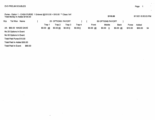$\sim$ 

where the contract of the contract of the contract of the contract of the contract of the contract of the contract of the contract of the contract of the contract of the contract of the contract of the contract of the cont

 $\mathcal{L}$  $\hat{\phantom{a}}$ 

 $\tilde{\phantom{a}}$ 

| Purse - Option 1 - CASH PURSE 1 Entered @ \$10.00 = \$10.00 ** Class 'AA'<br>Total Money In Added \$100.00 |                      |                   |         |         |          | \$110.00          |             |         | 8/13/21 6:50:03 PM |    |
|------------------------------------------------------------------------------------------------------------|----------------------|-------------------|---------|---------|----------|-------------------|-------------|---------|--------------------|----|
| Grp<br>Tot Won<br>Name                                                                                     |                      | 25 OPTIONS PAYOFF |         |         |          | 50 OPTIONS PAYOFF |             |         |                    |    |
|                                                                                                            | Trap 1               | Trap 2            | Trap 3  | Trap 4  | Front    | Middle            | <b>Back</b> | Purse   | Added              |    |
| AA \$60.00 WADE DAVE                                                                                       | $$0.00 \frac{48}{ }$ | \$0.0046          | \$0.000 | \$0.000 | \$0.0048 | \$0.00<br>- 0     | \$0.0046    | \$10.00 | \$50.00            | 94 |
| No 25 Options In Event                                                                                     |                      |                   |         |         |          |                   |             |         |                    |    |
| No 50 Options In Event                                                                                     |                      |                   |         |         |          |                   |             |         |                    |    |
| Total Paid Purse \$10.00                                                                                   |                      |                   |         |         |          |                   |             |         |                    |    |
| Total Paid In Added \$50.00                                                                                |                      |                   |         |         |          |                   |             |         |                    |    |
| \$60.00<br><b>Total Paid In Event:</b>                                                                     |                      |                   |         |         |          |                   |             |         |                    |    |

 $\overline{\phantom{a}}$ 

 $\bullet$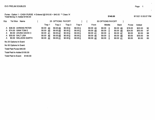Purse - Option 1 - CASH PURSE 4 Entered @ \$10.00 = \$40.00 \*\* Class 'A' Total Money In Added \$100.00

 $\sim$ 

| Grp | Tot Won<br><b>Name</b> |  |               | 25 OPTIONS PAYOFF |         |         |          | 50 OPTIONS PAYOFF |             |         |         |     |
|-----|------------------------|--|---------------|-------------------|---------|---------|----------|-------------------|-------------|---------|---------|-----|
|     |                        |  | Trap 1        | Trap 2            | Trap 3  | Trap 4  | Front    | Middle            | <b>Back</b> | Purse   | Added   |     |
|     | A \$36.00 AHRENS PETER |  | \$0.00<br>-43 | \$0.0049          | \$0.000 | \$0.000 | \$0.0043 | \$0.00<br>0       | \$0.0049    | \$16.00 | \$20.00 | -92 |
|     | A \$74.00 GINN TOM E   |  | \$0.00<br>-49 | \$0.0048          | \$0.000 | \$0.000 | \$0.0049 | \$0.00<br>0       | \$0.0048    | \$24.00 | \$50.00 | 97  |
| A   | \$0.00 LEUNG DAVID C   |  | \$0.00 41     | \$0.0047          | \$0.000 | \$0.000 | \$0.0041 | \$0.00<br>0       | \$0.00 47   | \$0.00  | \$0.00  | 88  |
|     | A \$30.00 SALT LISA    |  | \$0.00<br>46  | \$0.0048          | \$0.000 | \$0.000 | \$0.0046 | \$0.00<br>0       | \$0.0048    | \$0.00  | \$30.00 | 94  |
| A   | \$0.00 WILLSON GARTH   |  | \$0.00<br>-42 | \$0.0041          | \$0.000 | \$0.000 | \$0.0042 | \$0.00<br>0       | \$0.0041    | \$0.00  | \$0.00  | 83  |
|     | No 25 Options In Event |  |               |                   |         |         |          |                   |             |         |         |     |

No 50 Options In Event

Total Paid Purse \$40.00

Total Paid In Added \$100.00

Total Paid In Event: \$140.00

 $\bullet$ 

 $\mathbf{v}$ 

8/13/21 6:50:07 PM

\$140.00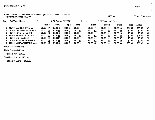Purse - Option 1 - CASH PURSE 6 Entered @ \$10.00 = \$60.00 Total Money In Added \$100.00Class 'B'

 $\sim$ 

| Grp | Tot Won<br>Name           |               | 25 OPTIONS PAYOFF |          |         |          | 50 OPTIONS PAYOFF |             |              |         |     |
|-----|---------------------------|---------------|-------------------|----------|---------|----------|-------------------|-------------|--------------|---------|-----|
|     |                           | Trap 1        | Trap 2            | Trap 3   | Trap 4  | Front    | <b>Middle</b>     | <b>Back</b> | <b>Purse</b> | Added   |     |
|     | B \$49.00 CARTER DAVID W  | \$0.00 47     | \$0.0045          | \$0.000  | \$0.000 | \$0.0047 | \$0.00<br>0       | \$0.0045    | \$24.00      | \$25.00 | 92  |
| B.  | \$0.00 COLEMAN ROBERT E   | \$0.0042      | \$0.0049          | \$0.000  | \$0.000 | \$0.0042 | \$0.00<br>0       | \$0.0049    | \$0.00       | \$0.00  | -91 |
| В   | \$0.00 FORSTER BURKE      | \$0.0044      | \$0.0045          | \$0.000  | \$0.000 | \$0.0044 | \$0.00<br>0       | \$0.0045    | \$0.00       | \$0.00  | 89  |
|     | B \$25.00 KAPELUCK DALE A | \$0.00 47     | \$0.0045          | \$0.000  | \$0.000 | \$0.0047 | \$0.00<br>0       | \$0.0045    | \$0.00       | \$25.00 | 92  |
| B.  | \$0.00 MOH BASSAM         | \$0.0041      | \$0.00 37         | \$0.000  | \$0.000 | \$0.0041 | \$0.00<br>0       | \$0.00 37   | \$0.00       | \$0.00  | 78  |
| В.  | \$0.00 RAMSAY MICHAEL H   | \$0.00<br>-43 | \$0.0046          | \$0.000  | \$0.000 | \$0.0043 | \$0.00<br>0       | \$0.0046    | \$0.00       | \$0.00  | 89  |
| в.  | \$86.00 WIRAWAN MARSHALL  | \$0.00<br>-45 | \$0.0048          | \$0.00 0 | \$0.000 | \$0.0045 | \$0.00<br>0       | \$0.0048    | \$36.00      | \$50.00 | 93  |

 $\sim 100$ 

 $\ddot{\phantom{1}}$ 

No 25 Options In Event

No 50 Options In Event

Total Paid Purse \$60.00

Total Paid In Added \$100.00

Total Paid In Event: \$160.00

\$160.00

### 8/13/21 6:50:10 PM

 $\ddot{\phantom{a}}$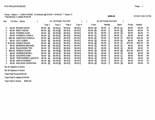Purse - Option 1 - CASH PURSE 15 Entered @  $$10.00 = $150.00$  \*\* Class 'C' Total Money In Added \$100.00

| Grp | Tot Won | Name                      |                     | 25 OPTIONS PAYOFF |         |         |                   |       | 50 OPTIONS PAYOFF |             |             |         |         |    |
|-----|---------|---------------------------|---------------------|-------------------|---------|---------|-------------------|-------|-------------------|-------------|-------------|---------|---------|----|
|     |         |                           | Trap 1              | Trap 2            | Trap 3  | Trap 4  |                   | Front | Middle            |             | <b>Back</b> | Purse   | Added   |    |
| C.  | \$0.00  | <b>BONAR DAVID</b>        | \$0.00<br><u>40</u> | \$0.0041          | \$0.000 | \$0.000 | \$0.0040          |       | \$0.00            | - 0         | \$0.0041    | \$0.00  | \$0.00  | 81 |
| C.  | \$0.00  | <b>BRETI KEVIN</b>        | \$0.00<br><u>40</u> | \$0.0036          | \$0.000 | \$0.000 | $$0.00^{\circ}40$ |       | \$0.00            | 0           | \$0.00 36   | \$0.00  | \$0.00  | 76 |
| C.  |         | \$0.00 FADDEN ALAN        | 35<br>\$0.00        | \$0.00 39         | \$0.000 | \$0.000 | \$0.0035          |       | \$0.00            | 0           | \$0.0039    | \$0.00  | \$0.00  | 74 |
| C.  | \$0.00  | <b>FONSECA JOHN A</b>     | \$0.00<br>-41       | \$0.0041          | \$0.000 | \$0.000 | \$0.0041          |       | \$0.00            | 0           | \$0.00 41   | \$0.00  | \$0.00  | 82 |
|     | \$62.50 | <b>HANCOCK DONALD</b>     | \$0.00<br>45        | \$0.0047          | \$0.000 | \$0.000 | \$0.00 45         |       | \$0.00            | 0           | \$0.00 47   | \$37.50 | \$25.00 | 92 |
|     | \$0.00  | <b>IZOV LUBEN</b>         | \$0.00<br>38        | \$0.0044          | \$0.000 | \$0.000 | \$0.00 38         |       | \$0.00            | 0           | \$0.00 44   | \$0.00  | \$0.00  | 82 |
|     |         | C \$125.00 KUMAR RAJAN    | \$0.00<br><u>46</u> | \$0.0047          | \$0.000 | \$0.000 | \$0.00 46         |       | \$0.00            | 0           | \$0.00 47   | \$75.00 | \$50.00 | 93 |
|     | \$0.00  | <b>MORRISS MICHAEL</b>    | \$0.00<br>-42       | \$0.0047          | \$0.000 | \$0.000 | \$0.0042          |       | \$0.00            |             | \$0.00 47   | \$0.00  | \$0.00  | 89 |
| C.  | \$0.00  | <b>RAJKOWSKI TED</b>      | \$0.00<br>-37       | \$0.00 37         | \$0.000 | \$0.000 | \$0.00 37         |       | \$0.00            |             | \$0.0037    | \$0.00  | \$0.00  | 74 |
| C.  | \$62.50 | <b>REMIAS DUSAN</b>       | \$0.00<br>-44       | \$0.0048          | \$0.000 | \$0.000 | \$0.00 44         |       | \$0.00            | $\mathbf 0$ | \$0.0048    | \$37.50 | \$25.00 | 92 |
| C   |         | \$0.00 ROSEBOOM BILL      | \$0.00<br><u>45</u> | \$0.0043          | \$0.000 | \$0.000 | $$0.00$ 45        |       | \$0.00            | 0           | $$0.00$ 43  | \$0.00  | \$0.00  | 88 |
| C   |         | \$0.00 STEVENS DOM        | \$0.00<br>43        | \$0.0041          | \$0.000 | \$0.000 | $$0.00 \; 43$     |       | \$0.00            | 0           | \$0.00 41   | \$0.00  | \$0.00  | 84 |
| C.  | SO.OO   | <b>TREFANENKO JASON N</b> | \$0.00<br>-42       | \$0.0043          | \$0.000 | \$0.000 | \$0.0042          |       | \$0.00            | 0           | \$0.0043    | \$0.00  | \$0.00  | 85 |
| C   | SO.OO   | <b>WHITE ROBERT</b>       | \$0.00<br>-40       | \$0.0041          | \$0.000 | \$0.000 | \$0.0040          |       | \$0.00            | 0           | \$0.0041    | \$0.00  | \$0.00  | 81 |
| C.  | SO.OO   | <b>WILLSON CHRISTIAN</b>  | \$0.00<br>40        | \$0.0038          | \$0.000 | \$0.000 | \$0.0040          |       | \$0.00            | 0           | \$0.00 38   | \$0.00  | \$0.00  | 78 |
|     |         |                           |                     |                   |         |         |                   |       |                   |             |             |         |         |    |

No 25 Options In Event

No 50 Options In Event

Total Paid Purse \$150.00

Total Paid In Added \$100.00

Total Paid In Event: \$250.00

\$250.00

8/13/21 6:50:12 PM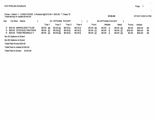Purse - Option 1 - CASH PURSE 3 Entered @ \$10.00 = \$30.00 \*\* Class 'D' Total Money In Added \$100.00

| Grp      | Tot Won<br>Name                                                                           |  |                                                      | 25 OPTIONS PAYOFF                |                               |                               |                                    | 50 OPTIONS PAYOFF                                     |                                   |                             |                               |                 |
|----------|-------------------------------------------------------------------------------------------|--|------------------------------------------------------|----------------------------------|-------------------------------|-------------------------------|------------------------------------|-------------------------------------------------------|-----------------------------------|-----------------------------|-------------------------------|-----------------|
|          |                                                                                           |  | Trap 1                                               | Trap 2                           | Trap 3                        | Trap 4                        | Front                              | Middle                                                | <b>Back</b>                       | Purse                       | Added                         |                 |
| D.<br>D. | <b>MIKKELSON TYLER</b><br>\$30.00<br>\$80.00 STOCKLEY MATHEW<br>D \$20.00 TODD REGINALD T |  | \$0.00 40<br>$$0.00 \quad 41$<br>$$0.00\frac{37}{5}$ | \$0.0044<br>\$0.0047<br>\$0.0043 | \$0.000<br>\$0.000<br>\$0.000 | \$0.000<br>\$0.000<br>\$0.000 | \$0.00 40<br>\$0.0041<br>\$0.00 37 | \$0.00<br>- 0<br>\$0.00<br>U<br>\$0.00<br>$\mathbf 0$ | \$0.0044<br>\$0.00 47<br>\$0.0043 | \$0.00<br>\$30.00<br>\$0.00 | \$30.00<br>\$50.00<br>\$20.00 | 84<br>88<br>-80 |
|          | No 25 Options In Event                                                                    |  |                                                      |                                  |                               |                               |                                    |                                                       |                                   |                             |                               |                 |
|          | No 50 Options In Event                                                                    |  |                                                      |                                  |                               |                               |                                    |                                                       |                                   |                             |                               |                 |
|          | Total Paid Purse \$30.00                                                                  |  |                                                      |                                  |                               |                               |                                    |                                                       |                                   |                             |                               |                 |
|          | Total Paid In Added \$100.00                                                              |  |                                                      |                                  |                               |                               |                                    |                                                       |                                   |                             |                               |                 |
|          | \$130.00<br><b>Total Paid In Event:</b>                                                   |  |                                                      |                                  |                               |                               |                                    |                                                       |                                   |                             |                               |                 |

 $\sim$ 

en de la provincia de la provincia de la provincia de la provincia de la provincia de la provincia de la provi

8/13/21 6:50:14 PM

 $\sim$ 

 $\omega$ 

 $\ddot{\phantom{a}}$ 

\$130.00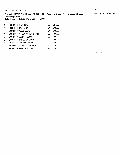$\sigma_{\rm{max}}=0.000$ 

Option 2 - LEWIS Total Playing 38 @ \$10.00 Payoff For Class # 1 4 Classes 2 Places 8/13/21 6:50:45 PM

Percentage Payoff Total Money \$95.00 Per Group LEWIS

 $\bar{\mathcal{A}}$ 

| 1              | <b>BC 45240 GINN TOM E</b>       | 97 | \$57.00 |
|----------------|----------------------------------|----|---------|
| 2              | BC 01930 SALT LISA               | 94 | \$19.00 |
| 3              | BC 16660 WADE DAVE               | 94 | \$19.00 |
| $\overline{4}$ | <b>BC 42361 WIRAWAN MARSHALL</b> | 93 | \$0.00  |
| 5              | BC 49009 KUMAR RAJAN             | 93 | \$0.00  |
| 6              | BC 14803 HANCOCK DONALD          | 92 | \$0.00  |
| 7              | <b>BC 44418 AHRENS PETER</b>     | 92 | \$0.00  |
| 8              | BC 45003 KAPELUCK DALE A         | 92 | \$0.00  |
| 9              | <b>BC 49349 REMIAS DUSAN</b>     | 92 | \$0.00  |
|                |                                  |    |         |

\$95.00

 $\mathcal{L}$ 

 $\mathcal{L}_{\mathcal{A}}$ 

 $\hat{\mathcal{A}}$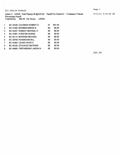$\mathcal{A}^{\text{max}}$  and  $\mathcal{A}^{\text{max}}$ 

 $\sim$ 

Percentage Payoff Total Money \$95.00 Per Group LEWIS

| 1              | BC 35436 COLEMAN ROBERT E          | 91 | \$57.00 |
|----------------|------------------------------------|----|---------|
| $\overline{2}$ | BC 01260 BOWMAN BRIAN G            | 89 | \$9.50  |
| 3              | <b>BC 44437 RAMSAY MICHAEL H</b>   | 89 | \$9.50  |
| 4              | <b>BC 47861 FORSTER BURKE</b>      | 89 | \$9.50  |
| 5              | <b>BC 48119 MORRISS MICHAEL</b>    | 89 | \$9.50  |
| 6              | BC 39768 ROSEBOOM BILL             | 88 | \$0.00  |
| 7              | BC 42064 LEUNG DAVID C             | 88 | \$0.00  |
| 8              | <b>BC 48182 STOCKLEY MATHEW</b>    | 88 | \$0.00  |
| 9              | <b>BC 46965 TREFANENKO JASON N</b> | 85 | \$0.00  |
|                |                                    |    |         |

\$95.00

 $\mathcal{A}^{\mathcal{A}}$ 

8/13/21 6:50:48 PM